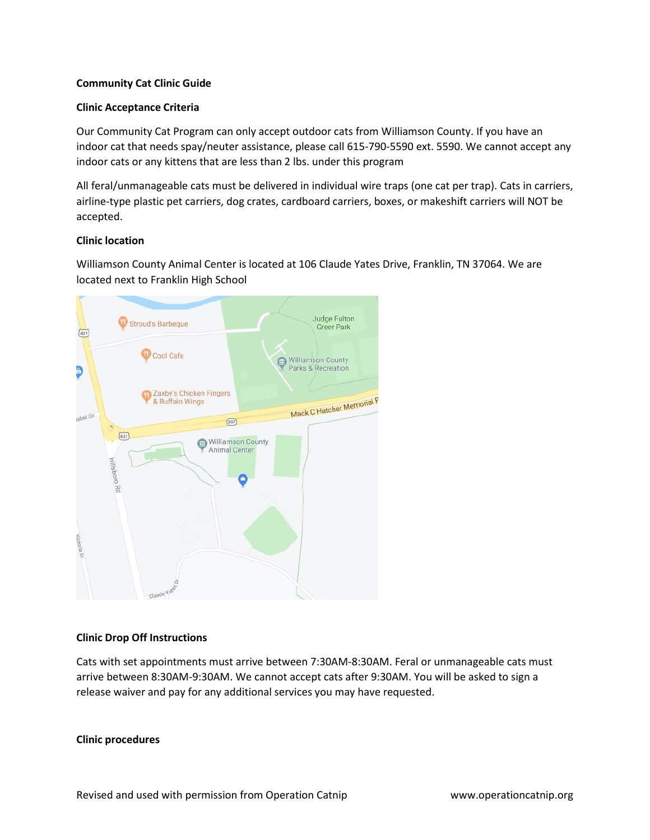## **Community Cat Clinic Guide**

## **Clinic Acceptance Criteria**

Our Community Cat Program can only accept outdoor cats from Williamson County. If you have an indoor cat that needs spay/neuter assistance, please call 615-790-5590 ext. 5590. We cannot accept any indoor cats or any kittens that are less than 2 lbs. under this program

All feral/unmanageable cats must be delivered in individual wire traps (one cat per trap). Cats in carriers, airline-type plastic pet carriers, dog crates, cardboard carriers, boxes, or makeshift carriers will NOT be accepted.

## **Clinic location**

Williamson County Animal Center is located at 106 Claude Yates Drive, Franklin, TN 37064. We are located next to Franklin High School



#### **Clinic Drop Off Instructions**

Cats with set appointments must arrive between 7:30AM-8:30AM. Feral or unmanageable cats must arrive between 8:30AM-9:30AM. We cannot accept cats after 9:30AM. You will be asked to sign a release waiver and pay for any additional services you may have requested.

#### **Clinic procedures**